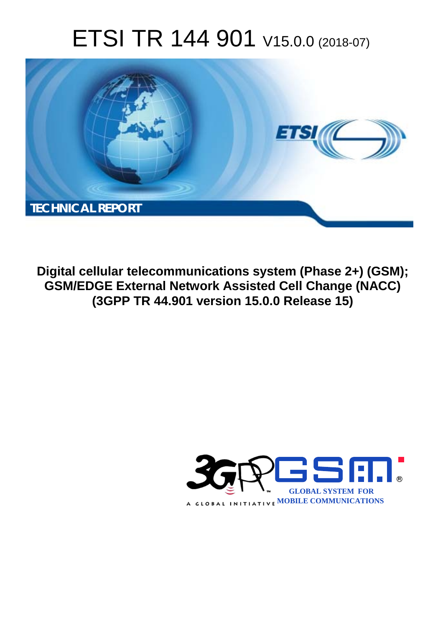# ETSI TR 144 901 V15.0.0 (2018-07)



**Digital cellular telecommunications system (Phase 2+) (GSM); GSM/EDGE External Network Assisted Cell Change (NACC) (3GPP TR 44.901 version 15.0.0 Release 15)** 

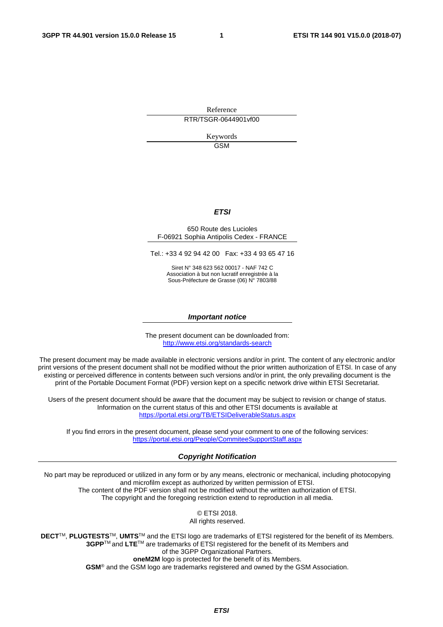Reference RTR/TSGR-0644901vf00

> Keywords GSM

#### *ETSI*

#### 650 Route des Lucioles F-06921 Sophia Antipolis Cedex - FRANCE

Tel.: +33 4 92 94 42 00 Fax: +33 4 93 65 47 16

Siret N° 348 623 562 00017 - NAF 742 C Association à but non lucratif enregistrée à la Sous-Préfecture de Grasse (06) N° 7803/88

#### *Important notice*

The present document can be downloaded from: <http://www.etsi.org/standards-search>

The present document may be made available in electronic versions and/or in print. The content of any electronic and/or print versions of the present document shall not be modified without the prior written authorization of ETSI. In case of any existing or perceived difference in contents between such versions and/or in print, the only prevailing document is the print of the Portable Document Format (PDF) version kept on a specific network drive within ETSI Secretariat.

Users of the present document should be aware that the document may be subject to revision or change of status. Information on the current status of this and other ETSI documents is available at <https://portal.etsi.org/TB/ETSIDeliverableStatus.aspx>

If you find errors in the present document, please send your comment to one of the following services: <https://portal.etsi.org/People/CommiteeSupportStaff.aspx>

#### *Copyright Notification*

No part may be reproduced or utilized in any form or by any means, electronic or mechanical, including photocopying and microfilm except as authorized by written permission of ETSI. The content of the PDF version shall not be modified without the written authorization of ETSI. The copyright and the foregoing restriction extend to reproduction in all media.

> © ETSI 2018. All rights reserved.

**DECT**TM, **PLUGTESTS**TM, **UMTS**TM and the ETSI logo are trademarks of ETSI registered for the benefit of its Members. **3GPP**TM and **LTE**TM are trademarks of ETSI registered for the benefit of its Members and of the 3GPP Organizational Partners. **oneM2M** logo is protected for the benefit of its Members.

**GSM**® and the GSM logo are trademarks registered and owned by the GSM Association.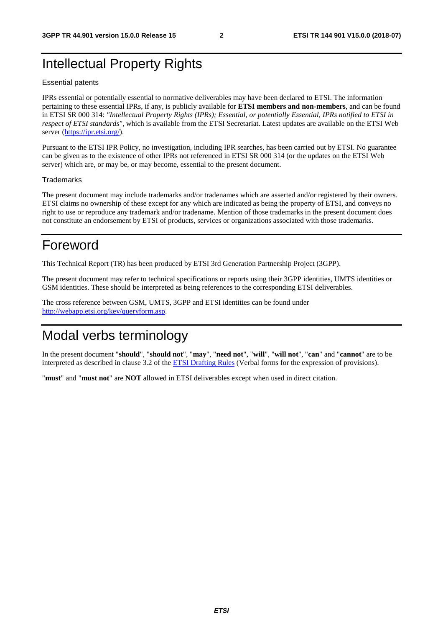## Intellectual Property Rights

#### Essential patents

IPRs essential or potentially essential to normative deliverables may have been declared to ETSI. The information pertaining to these essential IPRs, if any, is publicly available for **ETSI members and non-members**, and can be found in ETSI SR 000 314: *"Intellectual Property Rights (IPRs); Essential, or potentially Essential, IPRs notified to ETSI in respect of ETSI standards"*, which is available from the ETSI Secretariat. Latest updates are available on the ETSI Web server ([https://ipr.etsi.org/\)](https://ipr.etsi.org/).

Pursuant to the ETSI IPR Policy, no investigation, including IPR searches, has been carried out by ETSI. No guarantee can be given as to the existence of other IPRs not referenced in ETSI SR 000 314 (or the updates on the ETSI Web server) which are, or may be, or may become, essential to the present document.

#### **Trademarks**

The present document may include trademarks and/or tradenames which are asserted and/or registered by their owners. ETSI claims no ownership of these except for any which are indicated as being the property of ETSI, and conveys no right to use or reproduce any trademark and/or tradename. Mention of those trademarks in the present document does not constitute an endorsement by ETSI of products, services or organizations associated with those trademarks.

### Foreword

This Technical Report (TR) has been produced by ETSI 3rd Generation Partnership Project (3GPP).

The present document may refer to technical specifications or reports using their 3GPP identities, UMTS identities or GSM identities. These should be interpreted as being references to the corresponding ETSI deliverables.

The cross reference between GSM, UMTS, 3GPP and ETSI identities can be found under [http://webapp.etsi.org/key/queryform.asp.](http://webapp.etsi.org/key/queryform.asp)

### Modal verbs terminology

In the present document "**should**", "**should not**", "**may**", "**need not**", "**will**", "**will not**", "**can**" and "**cannot**" are to be interpreted as described in clause 3.2 of the [ETSI Drafting Rules](https://portal.etsi.org/Services/editHelp!/Howtostart/ETSIDraftingRules.aspx) (Verbal forms for the expression of provisions).

"**must**" and "**must not**" are **NOT** allowed in ETSI deliverables except when used in direct citation.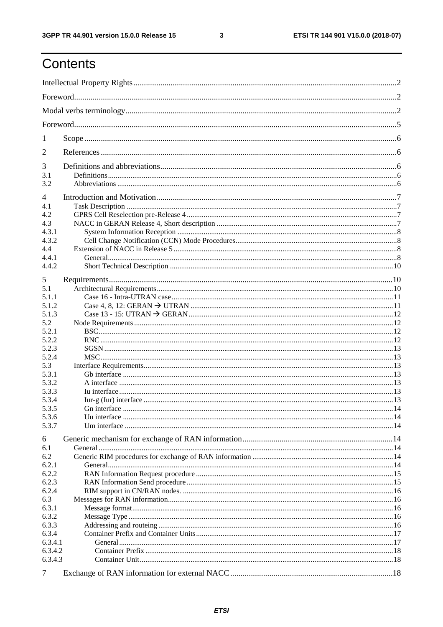$\mathbf{3}$ 

## Contents

| 1              |  |
|----------------|--|
| 2              |  |
| 3              |  |
| 3.1            |  |
| 3.2            |  |
| $\overline{4}$ |  |
| 4.1            |  |
| 4.2            |  |
| 4.3            |  |
| 4.3.1<br>4.3.2 |  |
| 4.4            |  |
| 4.4.1          |  |
| 4.4.2          |  |
|                |  |
| 5              |  |
| 5.1            |  |
| 5.1.1          |  |
| 5.1.2          |  |
| 5.1.3          |  |
| 5.2            |  |
| 5.2.1          |  |
| 5.2.2          |  |
| 5.2.3          |  |
| 5.2.4<br>5.3   |  |
| 5.3.1          |  |
| 5.3.2          |  |
| 5.3.3          |  |
| 5.3.4          |  |
| 5.3.5          |  |
| 5.3.6          |  |
| 5.3.7          |  |
| 6              |  |
| 6.1            |  |
| 6.2            |  |
| 6.2.1          |  |
| 6.2.2          |  |
| 6.2.3          |  |
| 6.2.4          |  |
| 6.3            |  |
| 6.3.1<br>6.3.2 |  |
| 6.3.3          |  |
| 6.3.4          |  |
| 6.3.4.1        |  |
| 6.3.4.2        |  |
| 6.3.4.3        |  |
|                |  |
| 7              |  |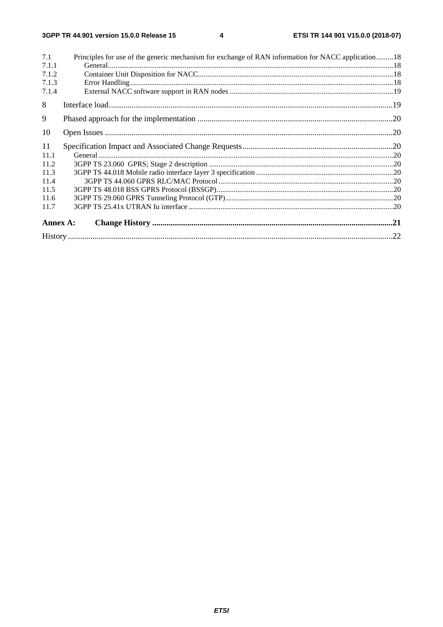| 7.1      | Principles for use of the generic mechanism for exchange of RAN information for NACC application18 |  |
|----------|----------------------------------------------------------------------------------------------------|--|
| 7.1.1    |                                                                                                    |  |
| 7.1.2    |                                                                                                    |  |
| 7.1.3    |                                                                                                    |  |
| 7.1.4    |                                                                                                    |  |
| 8        |                                                                                                    |  |
| 9        |                                                                                                    |  |
| 10       |                                                                                                    |  |
| 11       |                                                                                                    |  |
| 11.1     |                                                                                                    |  |
| 11.2     |                                                                                                    |  |
| 11.3     |                                                                                                    |  |
| 11.4     |                                                                                                    |  |
| 11.5     |                                                                                                    |  |
| 11.6     |                                                                                                    |  |
| 11.7     |                                                                                                    |  |
| Annex A: |                                                                                                    |  |
|          |                                                                                                    |  |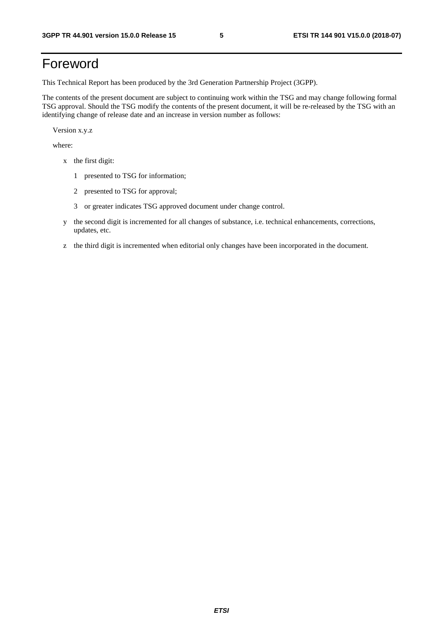## Foreword

This Technical Report has been produced by the 3rd Generation Partnership Project (3GPP).

The contents of the present document are subject to continuing work within the TSG and may change following formal TSG approval. Should the TSG modify the contents of the present document, it will be re-released by the TSG with an identifying change of release date and an increase in version number as follows:

Version x.y.z

where:

- x the first digit:
	- 1 presented to TSG for information;
	- 2 presented to TSG for approval;
	- 3 or greater indicates TSG approved document under change control.
- y the second digit is incremented for all changes of substance, i.e. technical enhancements, corrections, updates, etc.
- z the third digit is incremented when editorial only changes have been incorporated in the document.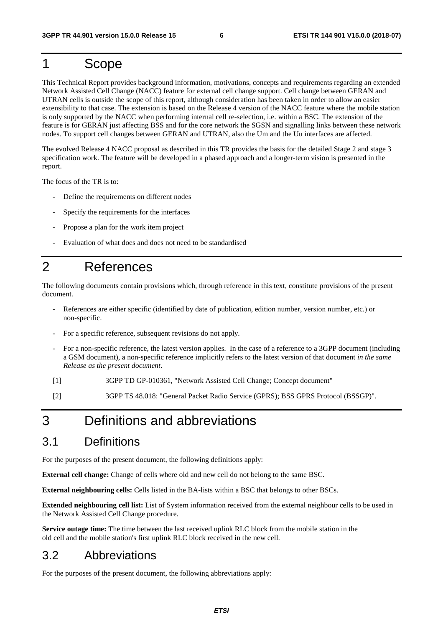### 1 Scope

This Technical Report provides background information, motivations, concepts and requirements regarding an extended Network Assisted Cell Change (NACC) feature for external cell change support. Cell change between GERAN and UTRAN cells is outside the scope of this report, although consideration has been taken in order to allow an easier extensibility to that case. The extension is based on the Release 4 version of the NACC feature where the mobile station is only supported by the NACC when performing internal cell re-selection, i.e. within a BSC. The extension of the feature is for GERAN just affecting BSS and for the core network the SGSN and signalling links between these network nodes. To support cell changes between GERAN and UTRAN, also the Um and the Uu interfaces are affected.

The evolved Release 4 NACC proposal as described in this TR provides the basis for the detailed Stage 2 and stage 3 specification work. The feature will be developed in a phased approach and a longer-term vision is presented in the report.

The focus of the TR is to:

- Define the requirements on different nodes
- Specify the requirements for the interfaces
- Propose a plan for the work item project
- Evaluation of what does and does not need to be standardised

### 2 References

The following documents contain provisions which, through reference in this text, constitute provisions of the present document.

- References are either specific (identified by date of publication, edition number, version number, etc.) or non-specific.
- For a specific reference, subsequent revisions do not apply.
- For a non-specific reference, the latest version applies. In the case of a reference to a 3GPP document (including a GSM document), a non-specific reference implicitly refers to the latest version of that document *in the same Release as the present document*.
- [1] 3GPP TD GP-010361, "Network Assisted Cell Change; Concept document"
- [2] 3GPP TS 48.018: "General Packet Radio Service (GPRS); BSS GPRS Protocol (BSSGP)".

### 3 Definitions and abbreviations

#### 3.1 Definitions

For the purposes of the present document, the following definitions apply:

**External cell change:** Change of cells where old and new cell do not belong to the same BSC.

**External neighbouring cells:** Cells listed in the BA-lists within a BSC that belongs to other BSCs.

**Extended neighbouring cell list:** List of System information received from the external neighbour cells to be used in the Network Assisted Cell Change procedure.

**Service outage time:** The time between the last received uplink RLC block from the mobile station in the old cell and the mobile station's first uplink RLC block received in the new cell.

### 3.2 Abbreviations

For the purposes of the present document, the following abbreviations apply: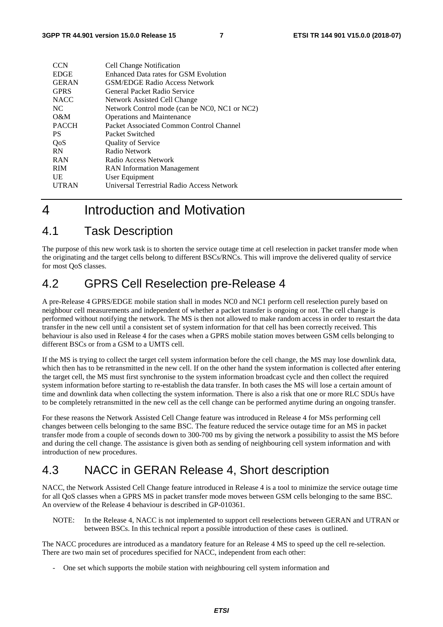| <b>CCN</b>   | <b>Cell Change Notification</b>               |
|--------------|-----------------------------------------------|
| <b>EDGE</b>  | Enhanced Data rates for GSM Evolution         |
| <b>GERAN</b> | <b>GSM/EDGE Radio Access Network</b>          |
| <b>GPRS</b>  | General Packet Radio Service                  |
| <b>NACC</b>  | Network Assisted Cell Change                  |
| NC.          | Network Control mode (can be NC0, NC1 or NC2) |
| $O\&M$       | <b>Operations and Maintenance</b>             |
| <b>PACCH</b> | Packet Associated Common Control Channel      |
| <b>PS</b>    | Packet Switched                               |
| QoS          | <b>Quality of Service</b>                     |
| <b>RN</b>    | Radio Network                                 |
| <b>RAN</b>   | Radio Access Network                          |
| <b>RIM</b>   | <b>RAN</b> Information Management             |
| UE           | User Equipment                                |
| <b>UTRAN</b> | Universal Terrestrial Radio Access Network    |
|              |                                               |

## 4 Introduction and Motivation

### 4.1 Task Description

The purpose of this new work task is to shorten the service outage time at cell reselection in packet transfer mode when the originating and the target cells belong to different BSCs/RNCs. This will improve the delivered quality of service for most QoS classes.

### 4.2 GPRS Cell Reselection pre-Release 4

A pre-Release 4 GPRS/EDGE mobile station shall in modes NC0 and NC1 perform cell reselection purely based on neighbour cell measurements and independent of whether a packet transfer is ongoing or not. The cell change is performed without notifying the network. The MS is then not allowed to make random access in order to restart the data transfer in the new cell until a consistent set of system information for that cell has been correctly received. This behaviour is also used in Release 4 for the cases when a GPRS mobile station moves between GSM cells belonging to different BSCs or from a GSM to a UMTS cell.

If the MS is trying to collect the target cell system information before the cell change, the MS may lose downlink data, which then has to be retransmitted in the new cell. If on the other hand the system information is collected after entering the target cell, the MS must first synchronise to the system information broadcast cycle and then collect the required system information before starting to re-establish the data transfer. In both cases the MS will lose a certain amount of time and downlink data when collecting the system information. There is also a risk that one or more RLC SDUs have to be completely retransmitted in the new cell as the cell change can be performed anytime during an ongoing transfer.

For these reasons the Network Assisted Cell Change feature was introduced in Release 4 for MSs performing cell changes between cells belonging to the same BSC. The feature reduced the service outage time for an MS in packet transfer mode from a couple of seconds down to 300-700 ms by giving the network a possibility to assist the MS before and during the cell change. The assistance is given both as sending of neighbouring cell system information and with introduction of new procedures.

### 4.3 NACC in GERAN Release 4, Short description

NACC, the Network Assisted Cell Change feature introduced in Release 4 is a tool to minimize the service outage time for all QoS classes when a GPRS MS in packet transfer mode moves between GSM cells belonging to the same BSC. An overview of the Release 4 behaviour is described in GP-010361.

NOTE: In the Release 4, NACC is not implemented to support cell reselections between GERAN and UTRAN or between BSCs. In this technical report a possible introduction of these cases is outlined.

The NACC procedures are introduced as a mandatory feature for an Release 4 MS to speed up the cell re-selection. There are two main set of procedures specified for NACC, independent from each other:

- One set which supports the mobile station with neighbouring cell system information and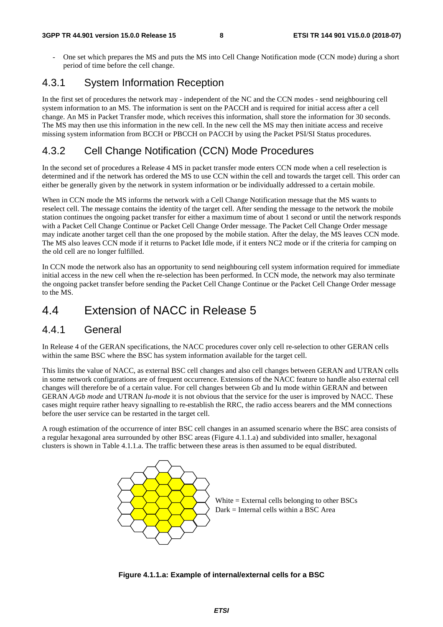One set which prepares the MS and puts the MS into Cell Change Notification mode (CCN mode) during a short period of time before the cell change.

#### 4.3.1 System Information Reception

In the first set of procedures the network may - independent of the NC and the CCN modes - send neighbouring cell system information to an MS. The information is sent on the PACCH and is required for initial access after a cell change. An MS in Packet Transfer mode, which receives this information, shall store the information for 30 seconds. The MS may then use this information in the new cell. In the new cell the MS may then initiate access and receive missing system information from BCCH or PBCCH on PACCH by using the Packet PSI/SI Status procedures.

#### 4.3.2 Cell Change Notification (CCN) Mode Procedures

In the second set of procedures a Release 4 MS in packet transfer mode enters CCN mode when a cell reselection is determined and if the network has ordered the MS to use CCN within the cell and towards the target cell. This order can either be generally given by the network in system information or be individually addressed to a certain mobile.

When in CCN mode the MS informs the network with a Cell Change Notification message that the MS wants to reselect cell. The message contains the identity of the target cell. After sending the message to the network the mobile station continues the ongoing packet transfer for either a maximum time of about 1 second or until the network responds with a Packet Cell Change Continue or Packet Cell Change Order message. The Packet Cell Change Order message may indicate another target cell than the one proposed by the mobile station. After the delay, the MS leaves CCN mode. The MS also leaves CCN mode if it returns to Packet Idle mode, if it enters NC2 mode or if the criteria for camping on the old cell are no longer fulfilled.

In CCN mode the network also has an opportunity to send neighbouring cell system information required for immediate initial access in the new cell when the re-selection has been performed. In CCN mode, the network may also terminate the ongoing packet transfer before sending the Packet Cell Change Continue or the Packet Cell Change Order message to the MS.

### 4.4 Extension of NACC in Release 5

#### 4.4.1 General

In Release 4 of the GERAN specifications, the NACC procedures cover only cell re-selection to other GERAN cells within the same BSC where the BSC has system information available for the target cell.

This limits the value of NACC, as external BSC cell changes and also cell changes between GERAN and UTRAN cells in some network configurations are of frequent occurrence. Extensions of the NACC feature to handle also external cell changes will therefore be of a certain value. For cell changes between Gb and Iu mode within GERAN and between GERAN *A/Gb mode* and UTRAN *Iu-mode* it is not obvious that the service for the user is improved by NACC. These cases might require rather heavy signalling to re-establish the RRC, the radio access bearers and the MM connections before the user service can be restarted in the target cell.

A rough estimation of the occurrence of inter BSC cell changes in an assumed scenario where the BSC area consists of a regular hexagonal area surrounded by other BSC areas (Figure 4.1.1.a) and subdivided into smaller, hexagonal clusters is shown in Table 4.1.1.a. The traffic between these areas is then assumed to be equal distributed.



**Figure 4.1.1.a: Example of internal/external cells for a BSC**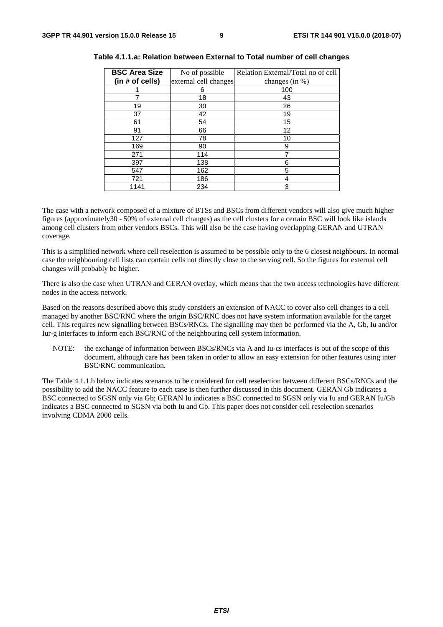| <b>BSC Area Size</b><br>(in # of cells) | No of possible<br>external cell changes | Relation External/Total no of cell<br>changes (in %) |
|-----------------------------------------|-----------------------------------------|------------------------------------------------------|
|                                         | 6                                       | 100                                                  |
|                                         | 18                                      | 43                                                   |
| 19                                      | 30                                      | 26                                                   |
| 37                                      | 42                                      | 19                                                   |
| 61                                      | 54                                      | 15                                                   |
| 91                                      | 66                                      | 12                                                   |
| 127                                     | 78                                      | 10                                                   |
| 169                                     | 90                                      | 9                                                    |
| 271                                     | 114                                     | 7                                                    |
| 397                                     | 138                                     | 6                                                    |
| 547                                     | 162                                     | 5                                                    |
| 721                                     | 186                                     | 4                                                    |
| 1141                                    | 234                                     | 3                                                    |

**Table 4.1.1.a: Relation between External to Total number of cell changes** 

The case with a network composed of a mixture of BTSs and BSCs from different vendors will also give much higher figures (approximately30 - 50% of external cell changes) as the cell clusters for a certain BSC will look like islands among cell clusters from other vendors BSCs. This will also be the case having overlapping GERAN and UTRAN coverage.

This is a simplified network where cell reselection is assumed to be possible only to the 6 closest neighbours. In normal case the neighbouring cell lists can contain cells not directly close to the serving cell. So the figures for external cell changes will probably be higher.

There is also the case when UTRAN and GERAN overlay, which means that the two access technologies have different nodes in the access network.

Based on the reasons described above this study considers an extension of NACC to cover also cell changes to a cell managed by another BSC/RNC where the origin BSC/RNC does not have system information available for the target cell. This requires new signalling between BSCs/RNCs. The signalling may then be performed via the A, Gb, Iu and/or Iur-g interfaces to inform each BSC/RNC of the neighbouring cell system information.

NOTE: the exchange of information between BSCs/RNCs via A and Iu-cs interfaces is out of the scope of this document, although care has been taken in order to allow an easy extension for other features using inter BSC/RNC communication.

The Table 4.1.1.b below indicates scenarios to be considered for cell reselection between different BSCs/RNCs and the possibility to add the NACC feature to each case is then further discussed in this document. GERAN Gb indicates a BSC connected to SGSN only via Gb; GERAN Iu indicates a BSC connected to SGSN only via Iu and GERAN Iu/Gb indicates a BSC connected to SGSN via both Iu and Gb. This paper does not consider cell reselection scenarios involving CDMA 2000 cells.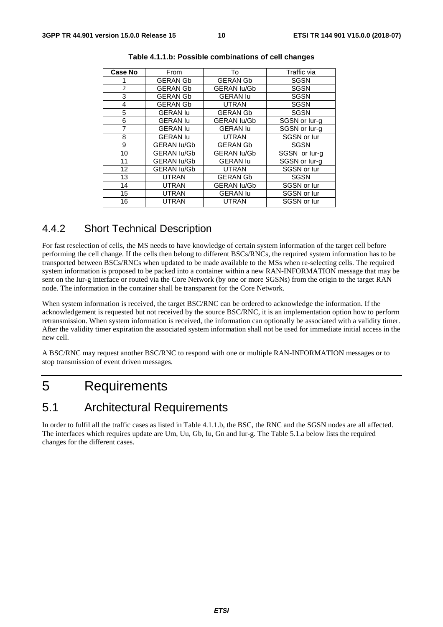| Case No        | From               | To                 | Traffic via   |
|----------------|--------------------|--------------------|---------------|
|                | <b>GERAN Gb</b>    | <b>GERAN Gb</b>    | <b>SGSN</b>   |
| $\overline{2}$ | <b>GERAN Gb</b>    | <b>GERAN lu/Gb</b> | <b>SGSN</b>   |
| 3              | <b>GERAN Gb</b>    | <b>GERAN lu</b>    | <b>SGSN</b>   |
| 4              | <b>GERAN Gb</b>    | <b>UTRAN</b>       | <b>SGSN</b>   |
| 5              | <b>GERAN lu</b>    | <b>GERAN Gb</b>    | <b>SGSN</b>   |
| 6              | <b>GERAN lu</b>    | <b>GERAN lu/Gb</b> | SGSN or lur-g |
| 7              | <b>GERAN lu</b>    | <b>GERAN lu</b>    | SGSN or lur-g |
| 8              | <b>GERAN lu</b>    | <b>UTRAN</b>       | SGSN or lur   |
| 9              | <b>GERAN lu/Gb</b> | <b>GERAN Gb</b>    | <b>SGSN</b>   |
| 10             | <b>GERAN lu/Gb</b> | <b>GERAN lu/Gb</b> | SGSN or lur-g |
| 11             | <b>GERAN lu/Gb</b> | <b>GERAN lu</b>    | SGSN or lur-g |
| 12             | <b>GERAN lu/Gb</b> | <b>UTRAN</b>       | SGSN or lur   |
| 13             | <b>UTRAN</b>       | <b>GERAN Gb</b>    | <b>SGSN</b>   |
| 14             | <b>UTRAN</b>       | <b>GERAN lu/Gb</b> | SGSN or lur   |
| 15             | <b>UTRAN</b>       | <b>GERAN lu</b>    | SGSN or lur   |
| 16             | <b>UTRAN</b>       | <b>UTRAN</b>       | SGSN or lur   |

| Table 4.1.1.b: Possible combinations of cell changes |  |  |
|------------------------------------------------------|--|--|
|------------------------------------------------------|--|--|

### 4.4.2 Short Technical Description

For fast reselection of cells, the MS needs to have knowledge of certain system information of the target cell before performing the cell change. If the cells then belong to different BSCs/RNCs, the required system information has to be transported between BSCs/RNCs when updated to be made available to the MSs when re-selecting cells. The required system information is proposed to be packed into a container within a new RAN-INFORMATION message that may be sent on the Iur-g interface or routed via the Core Network (by one or more SGSNs) from the origin to the target RAN node. The information in the container shall be transparent for the Core Network.

When system information is received, the target BSC/RNC can be ordered to acknowledge the information. If the acknowledgement is requested but not received by the source BSC/RNC, it is an implementation option how to perform retransmission. When system information is received, the information can optionally be associated with a validity timer. After the validity timer expiration the associated system information shall not be used for immediate initial access in the new cell.

A BSC/RNC may request another BSC/RNC to respond with one or multiple RAN-INFORMATION messages or to stop transmission of event driven messages.

### 5 Requirements

### 5.1 Architectural Requirements

In order to fulfil all the traffic cases as listed in Table 4.1.1.b, the BSC, the RNC and the SGSN nodes are all affected. The interfaces which requires update are Um, Uu, Gb, Iu, Gn and Iur-g. The Table 5.1.a below lists the required changes for the different cases.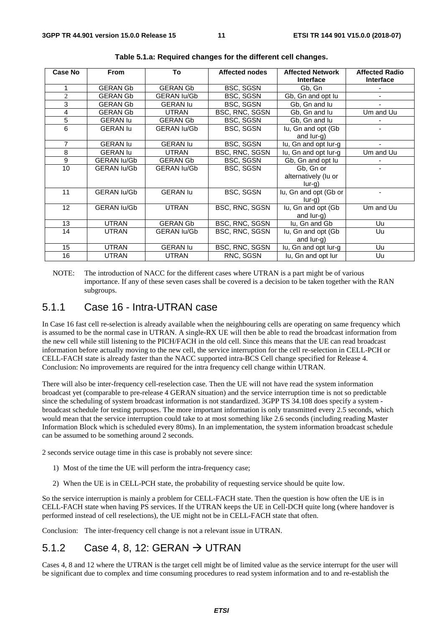| <b>Case No</b> | <b>From</b>        |                    | <b>Affected nodes</b> | <b>Affected Network</b> | <b>Affected Radio</b> |
|----------------|--------------------|--------------------|-----------------------|-------------------------|-----------------------|
|                |                    |                    |                       | <b>Interface</b>        | Interface             |
|                | <b>GERAN Gb</b>    | <b>GERAN Gb</b>    | BSC, SGSN             | Gb, Gn                  |                       |
| $\overline{2}$ | <b>GERAN Gb</b>    | <b>GERAN lu/Gb</b> | BSC, SGSN             | Gb, Gn and opt lu       |                       |
| 3              | <b>GERAN Gb</b>    | <b>GERAN lu</b>    | BSC, SGSN             | Gb, Gn and lu           |                       |
| 4              | <b>GERAN Gb</b>    | <b>UTRAN</b>       | BSC, RNC, SGSN        | Gb, Gn and lu           | Um and Uu             |
| 5              | <b>GERAN lu</b>    | <b>GERAN Gb</b>    | BSC, SGSN             | Gb, Gn and lu           |                       |
| 6              | <b>GERAN lu</b>    | <b>GERAN lu/Gb</b> | <b>BSC, SGSN</b>      | lu, Gn and opt (Gb      |                       |
|                |                    |                    |                       | and $lur-g$ )           |                       |
| 7              | <b>GERAN lu</b>    | <b>GERAN lu</b>    | <b>BSC, SGSN</b>      | lu, Gn and opt lur-g    |                       |
| 8              | <b>GERAN lu</b>    | <b>UTRAN</b>       | BSC, RNC, SGSN        | lu, Gn and opt lur-g    | Um and Uu             |
| 9              | <b>GERAN lu/Gb</b> | <b>GERAN Gb</b>    | BSC, SGSN             | Gb, Gn and opt lu       |                       |
| 10             | <b>GERAN lu/Gb</b> | <b>GERAN lu/Gb</b> | <b>BSC, SGSN</b>      | Gb, Gn or               |                       |
|                |                    |                    |                       | alternatively (lu or    |                       |
|                |                    |                    |                       | $lur-g)$                |                       |
| 11             | <b>GERAN lu/Gb</b> | <b>GERAN lu</b>    | <b>BSC, SGSN</b>      | lu, Gn and opt (Gb or   |                       |
|                |                    |                    |                       | $lur-g$ )               |                       |
| 12             | <b>GERAN lu/Gb</b> | <b>UTRAN</b>       | BSC, RNC, SGSN        | lu, Gn and opt (Gb)     | Um and Uu             |
|                |                    |                    |                       | and lur-g)              |                       |
| 13             | <b>UTRAN</b>       | <b>GERAN Gb</b>    | BSC, RNC, SGSN        | lu, Gn and Gb           | Uu                    |
| 14             | <b>UTRAN</b>       | <b>GERAN lu/Gb</b> | BSC, RNC, SGSN        | lu, Gn and opt (Gb      | Uu                    |
|                |                    |                    |                       | and lur-g)              |                       |
| 15             | <b>UTRAN</b>       | <b>GERAN lu</b>    | BSC, RNC, SGSN        | lu, Gn and opt lur-g    | Uu                    |
| 16             | UTRAN              | <b>UTRAN</b>       | RNC, SGSN             | lu, Gn and opt lur      | Uu                    |

**Table 5.1.a: Required changes for the different cell changes.** 

NOTE: The introduction of NACC for the different cases where UTRAN is a part might be of various importance. If any of these seven cases shall be covered is a decision to be taken together with the RAN subgroups.

#### 5.1.1 Case 16 - Intra-UTRAN case

In Case 16 fast cell re-selection is already available when the neighbouring cells are operating on same frequency which is assumed to be the normal case in UTRAN. A single-RX UE will then be able to read the broadcast information from the new cell while still listening to the PICH/FACH in the old cell. Since this means that the UE can read broadcast information before actually moving to the new cell, the service interruption for the cell re-selection in CELL-PCH or CELL-FACH state is already faster than the NACC supported intra-BCS Cell change specified for Release 4. Conclusion: No improvements are required for the intra frequency cell change within UTRAN.

There will also be inter-frequency cell-reselection case. Then the UE will not have read the system information broadcast yet (comparable to pre-release 4 GERAN situation) and the service interruption time is not so predictable since the scheduling of system broadcast information is not standardized. 3GPP TS 34.108 does specify a system broadcast schedule for testing purposes. The more important information is only transmitted every 2.5 seconds, which would mean that the service interruption could take to at most something like 2.6 seconds (including reading Master Information Block which is scheduled every 80ms). In an implementation, the system information broadcast schedule can be assumed to be something around 2 seconds.

2 seconds service outage time in this case is probably not severe since:

- 1) Most of the time the UE will perform the intra-frequency case;
- 2) When the UE is in CELL-PCH state, the probability of requesting service should be quite low.

So the service interruption is mainly a problem for CELL-FACH state. Then the question is how often the UE is in CELL-FACH state when having PS services. If the UTRAN keeps the UE in Cell-DCH quite long (where handover is performed instead of cell reselections), the UE might not be in CELL-FACH state that often.

Conclusion: The inter-frequency cell change is not a relevant issue in UTRAN.

#### 5.1.2 Case 4, 8, 12: GERAN  $\rightarrow$  UTRAN

Cases 4, 8 and 12 where the UTRAN is the target cell might be of limited value as the service interrupt for the user will be significant due to complex and time consuming procedures to read system information and to and re-establish the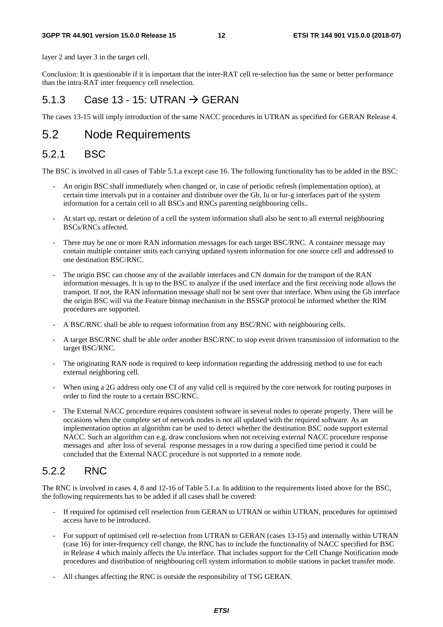#### **3GPP TR 44.901 version 15.0.0 Release 15 12 ETSI TR 144 901 V15.0.0 (2018-07)**

layer 2 and layer 3 in the target cell.

Conclusion: It is questionable if it is important that the inter-RAT cell re-selection has the same or better performance than the intra-RAT inter frequency cell reselection.

#### 5.1.3 Case 13 - 15: UTRAN  $\rightarrow$  GERAN

The cases 13-15 will imply introduction of the same NACC procedures in UTRAN as specified for GERAN Release 4.

### 5.2 Node Requirements

#### 5.2.1 BSC

The BSC is involved in all cases of Table 5.1.a except case 16. The following functionality has to be added in the BSC:

- An origin BSC shall immediately when changed or, in case of periodic refresh (implementation option), at certain time intervals put in a container and distribute over the Gb, Iu or Iur-g interfaces part of the system information for a certain cell to all BSCs and RNCs parenting neighbouring cells..
- At start up, restart or deletion of a cell the system information shall also be sent to all external neighbouring BSCs/RNCs affected.
- There may be one or more RAN information messages for each target BSC/RNC. A container message may contain multiple container units each carrying updated system information for one source cell and addressed to one destination BSC/RNC.
- The origin BSC can choose any of the available interfaces and CN domain for the transport of the RAN information messages. It is up to the BSC to analyze if the used interface and the first receiving node allows the transport. If not, the RAN information message shall not be sent over that interface. When using the Gb interface the origin BSC will via the Feature bitmap mechanism in the BSSGP protocol be informed whether the RIM procedures are supported.
- A BSC/RNC shall be able to request information from any BSC/RNC with neighbouring cells.
- A target BSC/RNC shall be able order another BSC/RNC to stop event driven transmission of information to the target BSC/RNC.
- The originating RAN node is required to keep information regarding the addressing method to use for each external neighboring cell.
- When using a 2G address only one CI of any valid cell is required by the core network for routing purposes in order to find the route to a certain BSC/RNC.
- The External NACC procedure requires consistent software in several nodes to operate properly. There will be occasions when the complete set of network nodes is not all updated with the required software. As an implementation option an algorithm can be used to detect whether the destination BSC node support external NACC. Such an algorithm can e.g. draw conclusions when not receiving external NACC procedure response messages and after loss of several response messages in a row during a specified time period it could be concluded that the External NACC procedure is not supported in a remote node.

### 5.2.2 RNC

The RNC is involved in cases 4, 8 and 12-16 of Table 5.1.a. In addition to the requirements listed above for the BSC, the following requirements has to be added if all cases shall be covered:

- If required for optimised cell reselection from GERAN to UTRAN or within UTRAN, procedures for optimised access have to be introduced.
- For support of optimised cell re-selection from UTRAN to GERAN (cases 13-15) and internally within UTRAN (case 16) for inter-frequency cell change, the RNC has to include the functionality of NACC specified for BSC in Release 4 which mainly affects the Uu interface. That includes support for the Cell Change Notification mode procedures and distribution of neighbouring cell system information to mobile stations in packet transfer mode.
- All changes affecting the RNC is outside the responsibility of TSG GERAN.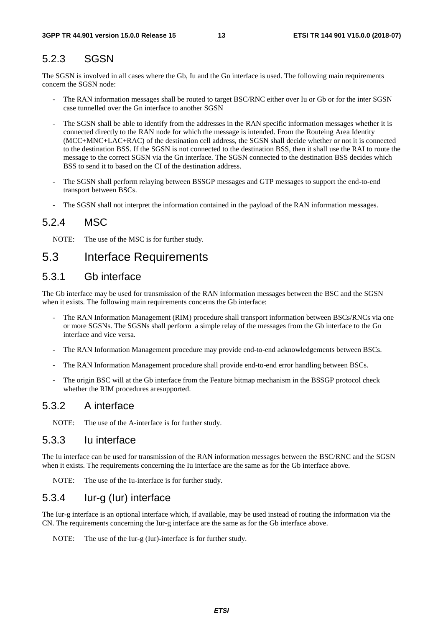#### 5.2.3 SGSN

The SGSN is involved in all cases where the Gb, Iu and the Gn interface is used. The following main requirements concern the SGSN node:

- The RAN information messages shall be routed to target BSC/RNC either over Iu or Gb or for the inter SGSN case tunnelled over the Gn interface to another SGSN
- The SGSN shall be able to identify from the addresses in the RAN specific information messages whether it is connected directly to the RAN node for which the message is intended. From the Routeing Area Identity (MCC+MNC+LAC+RAC) of the destination cell address, the SGSN shall decide whether or not it is connected to the destination BSS. If the SGSN is not connected to the destination BSS, then it shall use the RAI to route the message to the correct SGSN via the Gn interface. The SGSN connected to the destination BSS decides which BSS to send it to based on the CI of the destination address.
- The SGSN shall perform relaying between BSSGP messages and GTP messages to support the end-to-end transport between BSCs.
- The SGSN shall not interpret the information contained in the payload of the RAN information messages.

#### 5.2.4 MSC

NOTE: The use of the MSC is for further study.

#### 5.3 Interface Requirements

#### 5.3.1 Gb interface

The Gb interface may be used for transmission of the RAN information messages between the BSC and the SGSN when it exists. The following main requirements concerns the Gb interface:

- The RAN Information Management (RIM) procedure shall transport information between BSCs/RNCs via one or more SGSNs. The SGSNs shall perform a simple relay of the messages from the Gb interface to the Gn interface and vice versa.
- The RAN Information Management procedure may provide end-to-end acknowledgements between BSCs.
- The RAN Information Management procedure shall provide end-to-end error handling between BSCs.
- The origin BSC will at the Gb interface from the Feature bitmap mechanism in the BSSGP protocol check whether the RIM procedures aresupported.

#### 5.3.2 A interface

NOTE: The use of the A-interface is for further study.

#### 5.3.3 Iu interface

The Iu interface can be used for transmission of the RAN information messages between the BSC/RNC and the SGSN when it exists. The requirements concerning the Iu interface are the same as for the Gb interface above.

NOTE: The use of the Iu-interface is for further study.

#### 5.3.4 Iur-g (Iur) interface

The Iur-g interface is an optional interface which, if available, may be used instead of routing the information via the CN. The requirements concerning the Iur-g interface are the same as for the Gb interface above.

NOTE: The use of the Iur-g (Iur)-interface is for further study.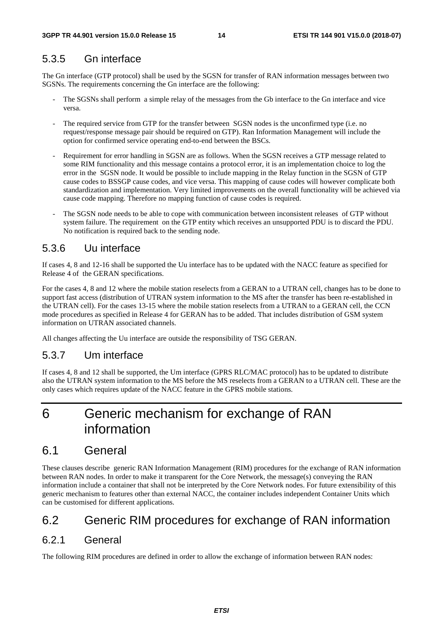### 5.3.5 Gn interface

The Gn interface (GTP protocol) shall be used by the SGSN for transfer of RAN information messages between two SGSNs. The requirements concerning the Gn interface are the following:

- The SGSNs shall perform a simple relay of the messages from the Gb interface to the Gn interface and vice versa.
- The required service from GTP for the transfer between SGSN nodes is the unconfirmed type (i.e. no request/response message pair should be required on GTP). Ran Information Management will include the option for confirmed service operating end-to-end between the BSCs.
- Requirement for error handling in SGSN are as follows. When the SGSN receives a GTP message related to some RIM functionality and this message contains a protocol error, it is an implementation choice to log the error in the SGSN node. It would be possible to include mapping in the Relay function in the SGSN of GTP cause codes to BSSGP cause codes, and vice versa. This mapping of cause codes will however complicate both standardization and implementation. Very limited improvements on the overall functionality will be achieved via cause code mapping. Therefore no mapping function of cause codes is required.
- The SGSN node needs to be able to cope with communication between inconsistent releases of GTP without system failure. The requirement on the GTP entity which receives an unsupported PDU is to discard the PDU. No notification is required back to the sending node.

#### 5.3.6 Uu interface

If cases 4, 8 and 12-16 shall be supported the Uu interface has to be updated with the NACC feature as specified for Release 4 of the GERAN specifications.

For the cases 4, 8 and 12 where the mobile station reselects from a GERAN to a UTRAN cell, changes has to be done to support fast access (distribution of UTRAN system information to the MS after the transfer has been re-established in the UTRAN cell). For the cases 13-15 where the mobile station reselects from a UTRAN to a GERAN cell, the CCN mode procedures as specified in Release 4 for GERAN has to be added. That includes distribution of GSM system information on UTRAN associated channels.

All changes affecting the Uu interface are outside the responsibility of TSG GERAN.

### 5.3.7 Um interface

If cases 4, 8 and 12 shall be supported, the Um interface (GPRS RLC/MAC protocol) has to be updated to distribute also the UTRAN system information to the MS before the MS reselects from a GERAN to a UTRAN cell. These are the only cases which requires update of the NACC feature in the GPRS mobile stations.

## 6 Generic mechanism for exchange of RAN information

### 6.1 General

These clauses describe generic RAN Information Management (RIM) procedures for the exchange of RAN information between RAN nodes. In order to make it transparent for the Core Network, the message(s) conveying the RAN information include a container that shall not be interpreted by the Core Network nodes. For future extensibility of this generic mechanism to features other than external NACC, the container includes independent Container Units which can be customised for different applications.

### 6.2 Generic RIM procedures for exchange of RAN information

#### 6.2.1 General

The following RIM procedures are defined in order to allow the exchange of information between RAN nodes: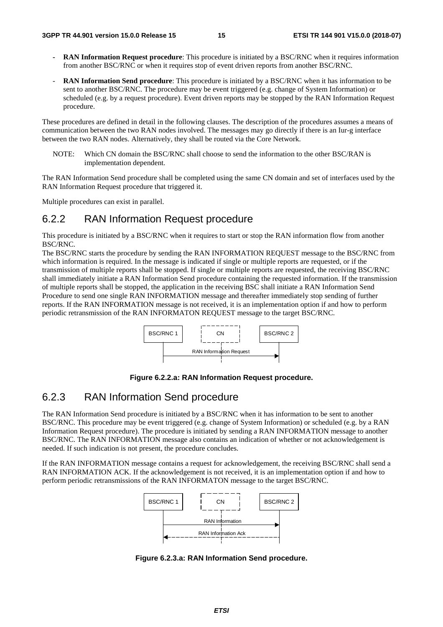- **RAN Information Request procedure**: This procedure is initiated by a BSC/RNC when it requires information from another BSC/RNC or when it requires stop of event driven reports from another BSC/RNC.
- **RAN Information Send procedure**: This procedure is initiated by a BSC/RNC when it has information to be sent to another BSC/RNC. The procedure may be event triggered (e.g. change of System Information) or scheduled (e.g. by a request procedure). Event driven reports may be stopped by the RAN Information Request procedure.

These procedures are defined in detail in the following clauses. The description of the procedures assumes a means of communication between the two RAN nodes involved. The messages may go directly if there is an Iur-g interface between the two RAN nodes. Alternatively, they shall be routed via the Core Network.

NOTE: Which CN domain the BSC/RNC shall choose to send the information to the other BSC/RAN is implementation dependent.

The RAN Information Send procedure shall be completed using the same CN domain and set of interfaces used by the RAN Information Request procedure that triggered it.

Multiple procedures can exist in parallel.

#### 6.2.2 RAN Information Request procedure

This procedure is initiated by a BSC/RNC when it requires to start or stop the RAN information flow from another BSC/RNC.

The BSC/RNC starts the procedure by sending the RAN INFORMATION REQUEST message to the BSC/RNC from which information is required. In the message is indicated if single or multiple reports are requested, or if the transmission of multiple reports shall be stopped. If single or multiple reports are requested, the receiving BSC/RNC shall immediately initiate a RAN Information Send procedure containing the requested information. If the transmission of multiple reports shall be stopped, the application in the receiving BSC shall initiate a RAN Information Send Procedure to send one single RAN INFORMATION message and thereafter immediately stop sending of further reports. If the RAN INFORMATION message is not received, it is an implementation option if and how to perform periodic retransmission of the RAN INFORMATON REQUEST message to the target BSC/RNC.



**Figure 6.2.2.a: RAN Information Request procedure.** 

#### 6.2.3 RAN Information Send procedure

The RAN Information Send procedure is initiated by a BSC/RNC when it has information to be sent to another BSC/RNC. This procedure may be event triggered (e.g. change of System Information) or scheduled (e.g. by a RAN Information Request procedure). The procedure is initiated by sending a RAN INFORMATION message to another BSC/RNC. The RAN INFORMATION message also contains an indication of whether or not acknowledgement is needed. If such indication is not present, the procedure concludes.

If the RAN INFORMATION message contains a request for acknowledgement, the receiving BSC/RNC shall send a RAN INFORMATION ACK. If the acknowledgement is not received, it is an implementation option if and how to perform periodic retransmissions of the RAN INFORMATON message to the target BSC/RNC.



**Figure 6.2.3.a: RAN Information Send procedure.**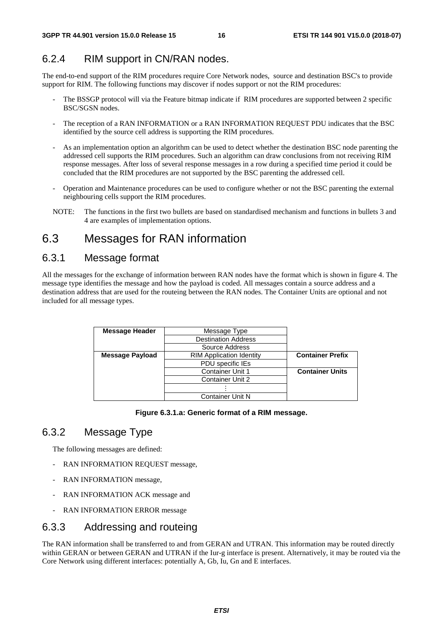### 6.2.4 RIM support in CN/RAN nodes.

The end-to-end support of the RIM procedures require Core Network nodes, source and destination BSC's to provide support for RIM. The following functions may discover if nodes support or not the RIM procedures:

- The BSSGP protocol will via the Feature bitmap indicate if RIM procedures are supported between 2 specific BSC/SGSN nodes.
- The reception of a RAN INFORMATION or a RAN INFORMATION REQUEST PDU indicates that the BSC identified by the source cell address is supporting the RIM procedures.
- As an implementation option an algorithm can be used to detect whether the destination BSC node parenting the addressed cell supports the RIM procedures. Such an algorithm can draw conclusions from not receiving RIM response messages. After loss of several response messages in a row during a specified time period it could be concluded that the RIM procedures are not supported by the BSC parenting the addressed cell.
- Operation and Maintenance procedures can be used to configure whether or not the BSC parenting the external neighbouring cells support the RIM procedures.
- NOTE: The functions in the first two bullets are based on standardised mechanism and functions in bullets 3 and 4 are examples of implementation options.

### 6.3 Messages for RAN information

### 6.3.1 Message format

All the messages for the exchange of information between RAN nodes have the format which is shown in figure 4. The message type identifies the message and how the payload is coded. All messages contain a source address and a destination address that are used for the routeing between the RAN nodes. The Container Units are optional and not included for all message types.

| <b>Message Header</b> | Message Type                    |                         |
|-----------------------|---------------------------------|-------------------------|
|                       | <b>Destination Address</b>      |                         |
|                       | Source Address                  |                         |
| Message Payload       | <b>RIM Application Identity</b> | <b>Container Prefix</b> |
|                       | PDU specific IEs                |                         |
|                       | <b>Container Unit 1</b>         | <b>Container Units</b>  |
|                       | <b>Container Unit 2</b>         |                         |
|                       |                                 |                         |
|                       | <b>Container Unit N</b>         |                         |

#### **Figure 6.3.1.a: Generic format of a RIM message.**

### 6.3.2 Message Type

The following messages are defined:

- RAN INFORMATION REQUEST message,
- RAN INFORMATION message,
- RAN INFORMATION ACK message and
- RAN INFORMATION ERROR message

### 6.3.3 Addressing and routeing

The RAN information shall be transferred to and from GERAN and UTRAN. This information may be routed directly within GERAN or between GERAN and UTRAN if the Iur-g interface is present. Alternatively, it may be routed via the Core Network using different interfaces: potentially A, Gb, Iu, Gn and E interfaces.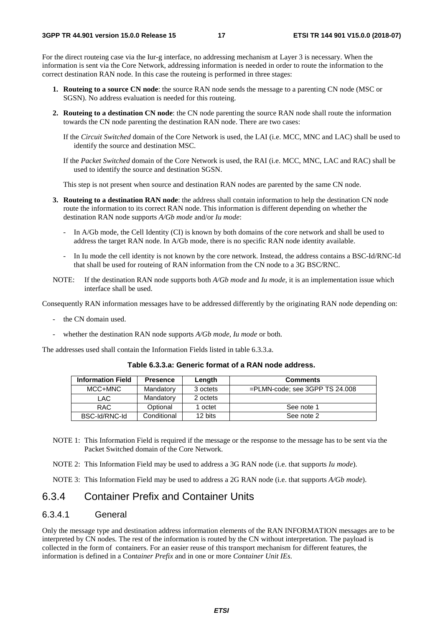For the direct routeing case via the Iur-g interface, no addressing mechanism at Layer 3 is necessary. When the information is sent via the Core Network, addressing information is needed in order to route the information to the correct destination RAN node. In this case the routeing is performed in three stages:

- **1. Routeing to a source CN node**: the source RAN node sends the message to a parenting CN node (MSC or SGSN). No address evaluation is needed for this routeing.
- **2. Routeing to a destination CN node**: the CN node parenting the source RAN node shall route the information towards the CN node parenting the destination RAN node. There are two cases:
	- If the *Circuit Switched* domain of the Core Network is used, the LAI (i.e. MCC, MNC and LAC) shall be used to identify the source and destination MSC.
	- If the *Packet Switched* domain of the Core Network is used, the RAI (i.e. MCC, MNC, LAC and RAC) shall be used to identify the source and destination SGSN.

This step is not present when source and destination RAN nodes are parented by the same CN node.

- **3. Routeing to a destination RAN node**: the address shall contain information to help the destination CN node route the information to its correct RAN node. This information is different depending on whether the destination RAN node supports *A/Gb mode* and/or *Iu mode*:
	- In A/Gb mode, the Cell Identity (CI) is known by both domains of the core network and shall be used to address the target RAN node. In A/Gb mode, there is no specific RAN node identity available.
	- In Iu mode the cell identity is not known by the core network. Instead, the address contains a BSC-Id/RNC-Id that shall be used for routeing of RAN information from the CN node to a 3G BSC/RNC.
- NOTE: If the destination RAN node supports both *A/Gb mode* and *Iu mode,* it is an implementation issue which interface shall be used.

Consequently RAN information messages have to be addressed differently by the originating RAN node depending on:

- the CN domain used.
- whether the destination RAN node supports *A/Gb mode*, *Iu mode* or both.

The addresses used shall contain the Information Fields listed in table 6.3.3.a.

**Table 6.3.3.a: Generic format of a RAN node address.** 

| <b>Information Field</b> | <b>Presence</b> | Length   | <b>Comments</b>                   |
|--------------------------|-----------------|----------|-----------------------------------|
| MCC+MNC                  | Mandatory       | 3 octets | $=$ PLMN-code; see 3GPP TS 24.008 |
| LAC.                     | Mandatory       | 2 octets |                                   |
| <b>RAC</b>               | Optional        | 1 octet  | See note 1                        |
| BSC-Id/RNC-Id            | Conditional     | 12 bits  | See note 2                        |

- NOTE 1: This Information Field is required if the message or the response to the message has to be sent via the Packet Switched domain of the Core Network.
- NOTE 2: This Information Field may be used to address a 3G RAN node (i.e. that supports *Iu mode*).

NOTE 3: This Information Field may be used to address a 2G RAN node (i.e. that supports *A/Gb mode*).

#### 6.3.4 Container Prefix and Container Units

#### 6.3.4.1 General

Only the message type and destination address information elements of the RAN INFORMATION messages are to be interpreted by CN nodes. The rest of the information is routed by the CN without interpretation. The payload is collected in the form of containers. For an easier reuse of this transport mechanism for different features, the information is defined in a Co*ntainer Prefix* and in one or more *Container Unit IEs*.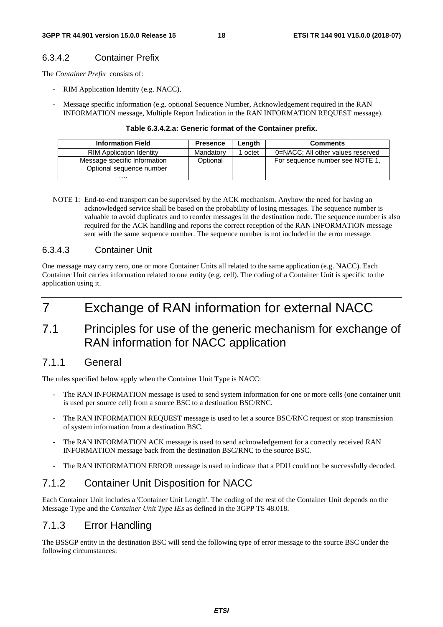#### 6.3.4.2 Container Prefix

The *Container Prefix* consists of:

- RIM Application Identity (e.g. NACC),
- Message specific information (e.g. optional Sequence Number, Acknowledgement required in the RAN INFORMATION message, Multiple Report Indication in the RAN INFORMATION REQUEST message).

#### **Table 6.3.4.2.a: Generic format of the Container prefix.**

| <b>Information Field</b>                                     | <b>Presence</b> | Lenath | <b>Comments</b>                   |
|--------------------------------------------------------------|-----------------|--------|-----------------------------------|
| <b>RIM Application Identity</b>                              | Mandatory       | octet  | 0=NACC; All other values reserved |
| Message specific Information<br>Optional sequence number<br> | Optional        |        | For sequence number see NOTE 1,   |

NOTE 1: End-to-end transport can be supervised by the ACK mechanism. Anyhow the need for having an acknowledged service shall be based on the probability of losing messages. The sequence number is valuable to avoid duplicates and to reorder messages in the destination node. The sequence number is also required for the ACK handling and reports the correct reception of the RAN INFORMATION message sent with the same sequence number. The sequence number is not included in the error message.

#### 6.3.4.3 Container Unit

One message may carry zero, one or more Container Units all related to the same application (e.g. NACC). Each Container Unit carries information related to one entity (e.g. cell). The coding of a Container Unit is specific to the application using it.

## 7 Exchange of RAN information for external NACC

7.1 Principles for use of the generic mechanism for exchange of RAN information for NACC application

#### 7.1.1 General

The rules specified below apply when the Container Unit Type is NACC:

- The RAN INFORMATION message is used to send system information for one or more cells (one container unit is used per source cell) from a source BSC to a destination BSC/RNC.
- The RAN INFORMATION REQUEST message is used to let a source BSC/RNC request or stop transmission of system information from a destination BSC.
- The RAN INFORMATION ACK message is used to send acknowledgement for a correctly received RAN INFORMATION message back from the destination BSC/RNC to the source BSC.
- The RAN INFORMATION ERROR message is used to indicate that a PDU could not be successfully decoded.

#### 7.1.2 Container Unit Disposition for NACC

Each Container Unit includes a 'Container Unit Length'. The coding of the rest of the Container Unit depends on the Message Type and the *Container Unit Type IEs* as defined in the 3GPP TS 48.018.

#### 7.1.3 Error Handling

The BSSGP entity in the destination BSC will send the following type of error message to the source BSC under the following circumstances: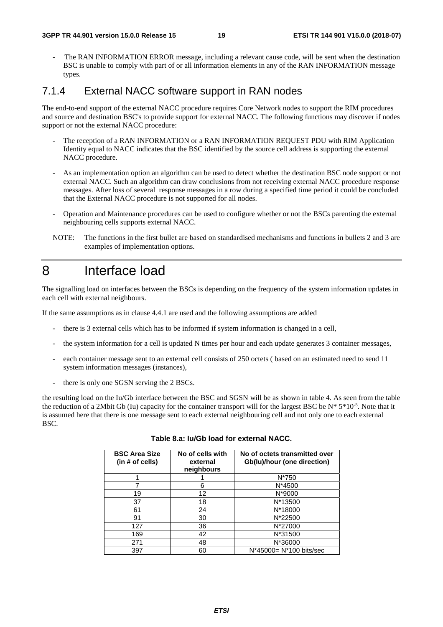- The RAN INFORMATION ERROR message, including a relevant cause code, will be sent when the destination BSC is unable to comply with part of or all information elements in any of the RAN INFORMATION message types.

#### 7.1.4 External NACC software support in RAN nodes

The end-to-end support of the external NACC procedure requires Core Network nodes to support the RIM procedures and source and destination BSC's to provide support for external NACC. The following functions may discover if nodes support or not the external NACC procedure:

- The reception of a RAN INFORMATION or a RAN INFORMATION REQUEST PDU with RIM Application Identity equal to NACC indicates that the BSC identified by the source cell address is supporting the external NACC procedure.
- As an implementation option an algorithm can be used to detect whether the destination BSC node support or not external NACC. Such an algorithm can draw conclusions from not receiving external NACC procedure response messages. After loss of several response messages in a row during a specified time period it could be concluded that the External NACC procedure is not supported for all nodes.
- Operation and Maintenance procedures can be used to configure whether or not the BSCs parenting the external neighbouring cells supports external NACC.
- NOTE: The functions in the first bullet are based on standardised mechanisms and functions in bullets 2 and 3 are examples of implementation options.

## 8 Interface load

The signalling load on interfaces between the BSCs is depending on the frequency of the system information updates in each cell with external neighbours.

If the same assumptions as in clause 4.4.1 are used and the following assumptions are added

- there is 3 external cells which has to be informed if system information is changed in a cell,
- the system information for a cell is updated N times per hour and each update generates 3 container messages,
- each container message sent to an external cell consists of 250 octets (based on an estimated need to send 11 system information messages (instances),
- there is only one SGSN serving the 2 BSCs.

the resulting load on the Iu/Gb interface between the BSC and SGSN will be as shown in table 4. As seen from the table the reduction of a 2Mbit Gb (Iu) capacity for the container transport will for the largest BSC be  $N^* 5^* 10^{-5}$ . Note that it is assumed here that there is one message sent to each external neighbouring cell and not only one to each external BSC.

| <b>BSC Area Size</b><br>(in # of cells) | No of cells with<br>external<br>neighbours | No of octets transmitted over<br>Gb(lu)/hour (one direction) |
|-----------------------------------------|--------------------------------------------|--------------------------------------------------------------|
|                                         |                                            | N*750                                                        |
|                                         | 6                                          | N*4500                                                       |
| 19                                      | 12                                         | N*9000                                                       |
| 37                                      | 18                                         | N*13500                                                      |
| 61                                      | 24                                         | N*18000                                                      |
| 91                                      | 30                                         | N*22500                                                      |
| 127                                     | 36                                         | N*27000                                                      |
| 169                                     | 42                                         | N*31500                                                      |
| 271                                     | 48                                         | N*36000                                                      |
| 397                                     | 60                                         | N*45000= N*100 bits/sec                                      |

#### **Table 8.a: Iu/Gb load for external NACC.**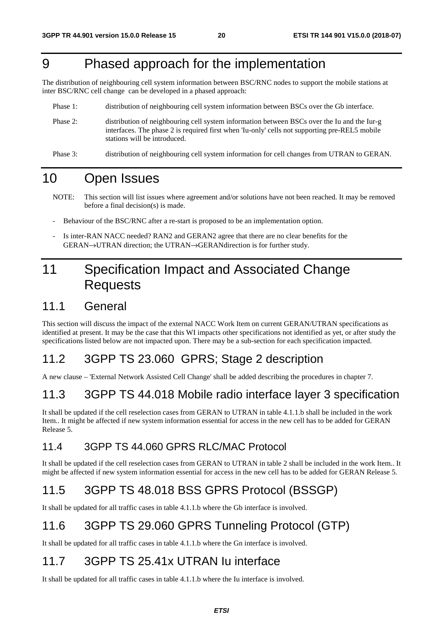## 9 Phased approach for the implementation

The distribution of neighbouring cell system information between BSC/RNC nodes to support the mobile stations at inter BSC/RNC cell change can be developed in a phased approach:

- Phase 1: distribution of neighbouring cell system information between BSCs over the Gb interface.
- Phase 2: distribution of neighbouring cell system information between BSCs over the Iu and the Iur-g interfaces. The phase 2 is required first when 'Iu-only' cells not supporting pre-REL5 mobile stations will be introduced.
- Phase 3: distribution of neighbouring cell system information for cell changes from UTRAN to GERAN.

## 10 Open Issues

- NOTE: This section will list issues where agreement and/or solutions have not been reached. It may be removed before a final decision(s) is made.
- Behaviour of the BSC/RNC after a re-start is proposed to be an implementation option.
- Is inter-RAN NACC needed? RAN2 and GERAN2 agree that there are no clear benefits for the GERAN→UTRAN direction; the UTRAN→GERANdirection is for further study.

## 11 Specification Impact and Associated Change Requests

### 11.1 General

This section will discuss the impact of the external NACC Work Item on current GERAN/UTRAN specifications as identified at present. It may be the case that this WI impacts other specifications not identified as yet, or after study the specifications listed below are not impacted upon. There may be a sub-section for each specification impacted.

### 11.2 3GPP TS 23.060 GPRS; Stage 2 description

A new clause – 'External Network Assisted Cell Change' shall be added describing the procedures in chapter 7.

### 11.3 3GPP TS 44.018 Mobile radio interface layer 3 specification

It shall be updated if the cell reselection cases from GERAN to UTRAN in table 4.1.1.b shall be included in the work Item.. It might be affected if new system information essential for access in the new cell has to be added for GERAN Release 5.

### 11.4 3GPP TS 44.060 GPRS RLC/MAC Protocol

It shall be updated if the cell reselection cases from GERAN to UTRAN in table 2 shall be included in the work Item.. It might be affected if new system information essential for access in the new cell has to be added for GERAN Release 5.

## 11.5 3GPP TS 48.018 BSS GPRS Protocol (BSSGP)

It shall be updated for all traffic cases in table 4.1.1.b where the Gb interface is involved.

### 11.6 3GPP TS 29.060 GPRS Tunneling Protocol (GTP)

It shall be updated for all traffic cases in table 4.1.1.b where the Gn interface is involved.

### 11.7 3GPP TS 25.41x UTRAN Iu interface

It shall be updated for all traffic cases in table 4.1.1.b where the Iu interface is involved.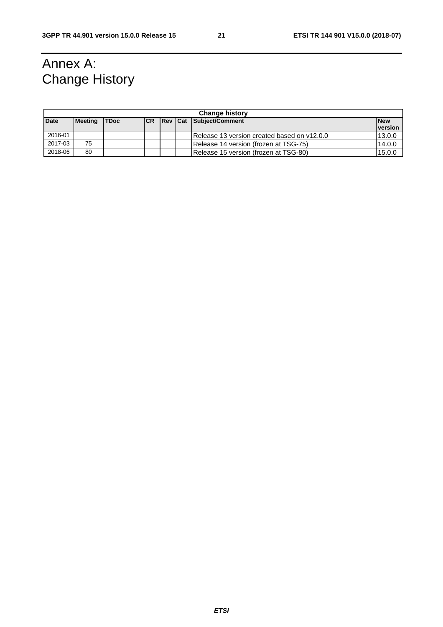## Annex A: Change History

|                                                                                              | <b>Change history</b> |  |  |            |  |                                              |         |  |
|----------------------------------------------------------------------------------------------|-----------------------|--|--|------------|--|----------------------------------------------|---------|--|
| <b>Date</b><br><b>Rev Cat Subject/Comment</b><br><b>TDoc</b><br><b>Meeting</b><br><b>ICR</b> |                       |  |  | <b>New</b> |  |                                              |         |  |
|                                                                                              |                       |  |  |            |  |                                              | version |  |
| 2016-01                                                                                      |                       |  |  |            |  | IRelease 13 version created based on y12.0.0 | 13.0.0  |  |
| 2017-03                                                                                      | 75                    |  |  |            |  | Release 14 version (frozen at TSG-75)        | 14.0.0  |  |
| 2018-06                                                                                      | 80                    |  |  |            |  | Release 15 version (frozen at TSG-80)        | 15.0.0  |  |